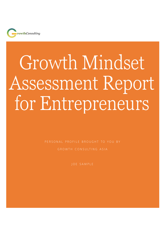

# Growth Mindset Assessment Report for Entrepreneurs

PERSONAL PROFILE BROUGHT TO YOU BY

GROWTH CONSULTING ASIA

JOE SAMPLE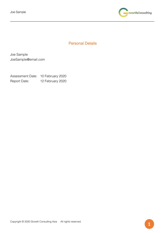

# Personal Details

\_\_\_\_\_\_\_\_\_\_\_\_\_\_\_\_\_\_\_\_\_\_\_\_\_\_\_\_\_\_\_\_\_\_\_\_\_\_\_\_\_\_\_\_\_\_\_\_\_\_\_\_\_\_\_\_\_\_\_\_\_\_\_\_\_\_\_\_\_\_\_\_\_\_\_\_\_\_\_\_\_\_\_\_\_\_\_

Joe Sample JoeSample@email.com

Assessment Date: 10 February 2020 Report Date: 12 February 2020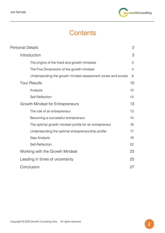

# **Contents**

\_\_\_\_\_\_\_\_\_\_\_\_\_\_\_\_\_\_\_\_\_\_\_\_\_\_\_\_\_\_\_\_\_\_\_\_\_\_\_\_\_\_\_\_\_\_\_\_\_\_\_\_\_\_\_\_\_\_\_\_\_\_\_\_\_\_\_\_\_\_\_\_\_\_\_\_\_\_\_\_\_\_\_\_\_\_\_

| <b>Personal Details</b>                                      | $\overline{2}$ |
|--------------------------------------------------------------|----------------|
| Introduction                                                 | 3              |
| The origins of the fixed and growth mindsets                 | 3              |
| The Five Dimensions of the growth mindset                    | $\overline{4}$ |
| Understanding the growth mindset assessment zones and scores | 8              |
| <b>Your Results</b>                                          | 10             |
| Analysis                                                     | 10             |
| Self-Reflection                                              | 12             |
| Growth Mindset for Entrepreneurs                             | 13             |
| The role of an entrepreneur                                  | 13             |
| Becoming a successful entrepreneur                           | 14             |
| The optimal growth mindset profile for an entrepreneur       | 16             |
| Understanding the optimal entrepreneurship profile           | 17             |
| <b>Gap Analysis</b>                                          | 18             |
| Self-Reflection                                              | 22             |
| Working with the Growth Mindset                              | 23             |
| Leading in times of uncertainty                              | 25             |
| Conclusion                                                   | 27             |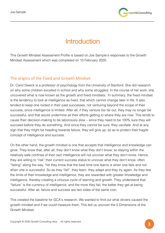

# **Introduction**

\_\_\_\_\_\_\_\_\_\_\_\_\_\_\_\_\_\_\_\_\_\_\_\_\_\_\_\_\_\_\_\_\_\_\_\_\_\_\_\_\_\_\_\_\_\_\_\_\_\_\_\_\_\_\_\_\_\_\_\_\_\_\_\_\_\_\_\_\_\_\_\_\_\_\_\_\_\_\_\_\_\_\_\_\_\_\_

This Growth Mindset Assessment Profile is based on Joe Sample's responses to the Growth Mindset Assessment which was completed on 10 February 2020.

# The origins of the Fixed and Growth Mindset

Dr. Carol Dweck is a professor of psychology from the University of Stanford. She did research on why some children excelled in school and why some struggled. In the course of her work, she uncovered what is now known as the growth and fixed mindsets. In summary, the fixed mindset is the tendency to look at intelligence as fixed, that which cannot change later in life. It also tended to keep one rooted in their past successes, not venturing beyond the scope of their success, since intelligence is limited. After all, if they venture too far out, they may no longer be successful, and that would undermine all their efforts getting to where they are now. This tends to cause their decision-making to be laboriously slow – since they need to be 100% sure they will succeed before they do something. And since they cannot be sure, they vacillate. And at any sign that they might be heading towards failure, they will give up; so as to protect their fragile concept of intelligence and success.

On the other hand, the growth mindset is one that accepts that intelligence and knowledge can grow. They know that, after all, they don't know what they don't know; so staying within the relatively safe confines of their own intelligence will not uncover what they don't know. Hence, they are willing to "risk" their current success status to uncover what they don't know, often "failing" along the way. Yet they know that the best time one learns is when one fails and not when one is successful. So as they "fail", they learn, they adapt and they try again. As they test the limits of their knowledge and intelligence, they are rewarded with greater knowledge and intelligence, thereby creating a virtuous cycle of learning and growth. They understand that "failure" is the currency of intelligence, and the more they fail, the better they get at being successful. After all, failure and success are two sides of the same coin.

This created the baseline for GCA's research. We wanted to find out what drivers caused the growth mindset and if we could measure them. This led us uncover the 5 Dimensions of the Growth Mindset.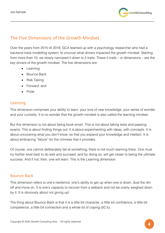

# The Five Dimensions of the Growth Mindset

Over the years from 2015 till 2019, GCA teamed up with a psychology researcher who had a backend traits modelling system, to uncover what drivers impacted the growth mindset. Starting from more than 10, we slowly narrowed it down to 5 traits. These 5 traits – or dimensions – are the key drivers of the growth mindset. The five dimensions are:

\_\_\_\_\_\_\_\_\_\_\_\_\_\_\_\_\_\_\_\_\_\_\_\_\_\_\_\_\_\_\_\_\_\_\_\_\_\_\_\_\_\_\_\_\_\_\_\_\_\_\_\_\_\_\_\_\_\_\_\_\_\_\_\_\_\_\_\_\_\_\_\_\_\_\_\_\_\_\_\_\_\_\_\_\_\_\_

- Learning
- Bounce Back
- Risk Taking
- Forward, and
- Pride

# Learning

This dimension comprises your ability to learn, your love of new knowledge, your sense of wonder and your curiosity. It is no wonder that the growth mindset is also called the learning mindset.

But this dimension is not about being book smart. This is not about taking tests and passing exams. This is about finding things out; it is about experimenting with ideas, with concepts. It is about uncovering what you don't know, so that you expand your knowledge and intellect. It is about embracing "failure" for the richness that it provides.

Of course, one cannot deliberately fail at something; there is not much learning there. One must try his/her level best to do well and succeed, and by doing so, will get closer to being the ultimate success. And if not, then, one will learn. This is the Learning dimension.

## Bounce Back

This dimension refers to one's resilience, one's ability to get up when one is down, dust the dirt off and move on. It is one's capacity to recover from a setback and not be overly weighed down by it. It is obviously about not giving up!

The thing about Bounce Back is that it is a little bit character, a little bit confidence, a little bit competence, a little bit connection and a whole lot of coping (5C's).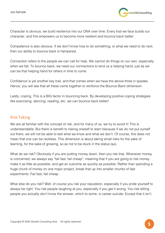

Character is obvious; we build resilience into our DNA over time. Every trial we face builds our character, and this empowers us to become more resilient and bounce back better.

\_\_\_\_\_\_\_\_\_\_\_\_\_\_\_\_\_\_\_\_\_\_\_\_\_\_\_\_\_\_\_\_\_\_\_\_\_\_\_\_\_\_\_\_\_\_\_\_\_\_\_\_\_\_\_\_\_\_\_\_\_\_\_\_\_\_\_\_\_\_\_\_\_\_\_\_\_\_\_\_\_\_\_\_\_\_\_

Competence is also obvious. If we don't know how to do something, or what we need to do next, then our ability to bounce back is hampered.

Connection refers to the people we can call for help. We cannot do things on our own, especially when we fall. To bounce back, we need our connections to lend us a helping hand; just as we can be that helping hand for others in time to come.

Confidence is yet another key trait, and that comes when we have the above three in spades. Hence, you will see that all these come together to reinforce the Bounce Back dimension.

Lastly, coping. This is a BIG factor in bouncing back. By developing positive coping strategies like exercising, dancing, reading, etc, we can bounce back better!

# Risk Taking

We are all familiar with the concept of risk, and for many of us, we try to avoid it! This is understandable. But there is benefit to risking oneself to learn because if we do not put ourself out there, we will not be able to test what we know and what we don't. Of course, this does not mean that one can be reckless. This dimension is about taking small risks for the sake of learning, for the sake of growing, so as not to be stuck in the status quo.

What do we risk? Obviously if you are putting money down, then you risk that. Whenever money is concerned, we always say "fail fast, fail cheap"; meaning that if you are going to risk money, make it as little as possible, and get an outcome as quickly as possible. Rather than spending a huge chunk of money on one major project, break that up into smaller chunks of fast experiments. Fail fast, fail cheap.

What else do you risk? Well, of course you risk your reputation, especially if you pride yourself to always be right. You risk people laughing at you, especially if you get it wrong. You risk telling people you actually don't know the answer, which to some, is career suicide. Except that it isn't.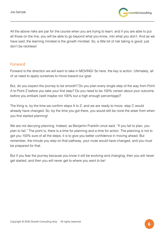

All the above risks are par for the course when you are trying to learn; and if you are able to put all those on the line, you will be able to go beyond what you know, into what you don't. And as we have said, the learning mindset is the growth mindset. So, a little bit of risk taking is good; just don't be reckless!

\_\_\_\_\_\_\_\_\_\_\_\_\_\_\_\_\_\_\_\_\_\_\_\_\_\_\_\_\_\_\_\_\_\_\_\_\_\_\_\_\_\_\_\_\_\_\_\_\_\_\_\_\_\_\_\_\_\_\_\_\_\_\_\_\_\_\_\_\_\_\_\_\_\_\_\_\_\_\_\_\_\_\_\_\_\_\_

# Forward

Forward is the direction we will want to take in MOVING! So here, the key is action. Ultimately, all of us need to apply ourselves to move toward our goal.

But, do you expect the journey to be smooth? Do you plan every single step of the way from Point A to Point Z before you take your first step? Do you need to be 100% certain about your outcome before you embark (well maybe not 100% but a high enough percentage)?

The thing is, by the time we confirm steps A to Z, and we are ready to move, step C would already have changed. So, by the time you got there, you would still be none the wiser from when you first started planning!

We are not decrying planning. Indeed, as Benjamin Franklin once said, "If you fail to plan, you plan to fail." The point is, there is a time for planning and a time for action. The planning is not to get you 100% sure of all the steps; it is to give you better confidence in moving ahead. But remember, the minute you step on that pathway, your route would have changed, and you must be prepared for that.

But if you fear the journey because you know it will be evolving and changing, then you will never get started, and then you will never get to where you want to be!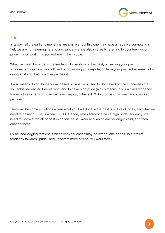

# Pride

In a way, all the earlier dimensions are positive, but this one may have a negative connotation. Yet, we are not referring here to arrogance; we are also not really referring to your feelings of pride in your work. It is somewhere in the middle.

\_\_\_\_\_\_\_\_\_\_\_\_\_\_\_\_\_\_\_\_\_\_\_\_\_\_\_\_\_\_\_\_\_\_\_\_\_\_\_\_\_\_\_\_\_\_\_\_\_\_\_\_\_\_\_\_\_\_\_\_\_\_\_\_\_\_\_\_\_\_\_\_\_\_\_\_\_\_\_\_\_\_\_\_\_\_\_

What we mean by pride is the tendency to be stuck in the past; of viewing your past achievements as "sacrosanct" and of not risking your reputation from your past achievements by doing anything that would jeopardise it.

It also means doing things today based on what you used to do; based on the successes that you achieved earlier. People who tend to have high pride (which means this is a fixed tendency towards this dimension) can be heard saying, "I have ALWAYS done it this way, and it worked just fine!"

There will be some situations where what you had done in the past is still valid today, but what we need to be mindful of, is when it ISN'T. Hence, when someone has a high pride tendency, we need to uncover which of past experiences still work and which are no longer valid, and then change those.

By acknowledging that one's ideas or experiences may be wrong, one opens up a growth tendency towards "pride" and uncovers more of what will work today.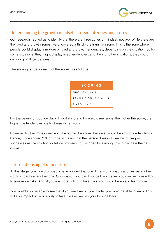

# Understanding the growth mindset assessment zones and scores

Our research had led us to identify that there are three zones of mindset, not two. While there are the fixed and growth zones, we uncovered a third - the transition zone. This is the zone where people could display a mixture of fixed and growth tendencies, depending on the situation. So for some situations, they might display fixed tendencies, and then for other situations, they could display growth tendencies.

\_\_\_\_\_\_\_\_\_\_\_\_\_\_\_\_\_\_\_\_\_\_\_\_\_\_\_\_\_\_\_\_\_\_\_\_\_\_\_\_\_\_\_\_\_\_\_\_\_\_\_\_\_\_\_\_\_\_\_\_\_\_\_\_\_\_\_\_\_\_\_\_\_\_\_\_\_\_\_\_\_\_\_\_\_\_\_

The scoring range for each of the zones is as follows:

| SCORING                 |
|-------------------------|
| $G$ ROWTH: $> = 3.4$    |
| $TRANSITION: 3.3 - 2.4$ |
| $FIXFD: < = 2.3$        |

For the Learning, Bounce Back, Risk-Taking and Forward dimensions, the higher the score, the higher the tendencies are for these dimensions.

However, for the Pride dimension, the higher the score, the lower would be your pride tendency. Hence, if one scored 3.6 for Pride, it means that the person does not view his or her past successes as the solution for future problems, but is open to learning how to navigate the new normal.

## Interrelationship of dimensions

At this stage, you would probably have noticed that one dimension impacts another, as another would impact yet another one. Obviously, if you can bounce back better, you can be more willing to take more risks. And, if you are more willing to take risks, you would be able to learn more.

You would also be able to see that if you are fixed in your Pride, you won't be able to learn. This will also impact on your ability to take risks as well as your bounce back.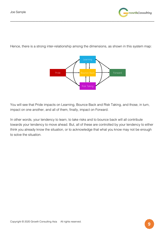

Hence, there is a strong inter-relationship among the dimensions, as shown in this system map:

\_\_\_\_\_\_\_\_\_\_\_\_\_\_\_\_\_\_\_\_\_\_\_\_\_\_\_\_\_\_\_\_\_\_\_\_\_\_\_\_\_\_\_\_\_\_\_\_\_\_\_\_\_\_\_\_\_\_\_\_\_\_\_\_\_\_\_\_\_\_\_\_\_\_\_\_\_\_\_\_\_\_\_\_\_\_\_



You will see that Pride impacts on Learning, Bounce Back and Risk Taking, and those, in turn, impact on one another, and all of them, finally, impact on Forward.

In other words, your tendency to learn, to take risks and to bounce back will all contribute towards your tendency to move ahead. But, all of these are controlled by your tendency to either think you already know the situation, or to acknowledge that what you know may not be enough to solve the situation.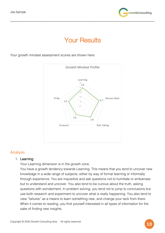

# **Your Results**

\_\_\_\_\_\_\_\_\_\_\_\_\_\_\_\_\_\_\_\_\_\_\_\_\_\_\_\_\_\_\_\_\_\_\_\_\_\_\_\_\_\_\_\_\_\_\_\_\_\_\_\_\_\_\_\_\_\_\_\_\_\_\_\_\_\_\_\_\_\_\_\_\_\_\_\_\_\_\_\_\_\_\_\_\_\_\_

Your growth mindset assessment scores are shown here:



## Analysis

#### 1. Learning

Your Learning dimension is in the growth zone.

You have a growth tendency towards Learning. This means that you tend to uncover new knowledge in a wide range of subjects, either by way of formal learning or informally through experience. You are inquisitive and ask questions not to humiliate or embarrass but to understand and uncover. You also tend to be curious about the truth, asking questions with wonderment. In problem solving, you tend not to jump to conclusions but use both research and experiment to uncover what is really happening. You also tend to view "failures" as a means to learn something new, and change your tack from there. When it comes to reading, you find yourself interested in all types of information for the sake of finding new insights.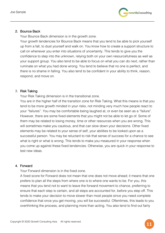

#### 2. Bounce Back

Your Bounce Back dimension is in the growth zone.

Your growth tendencies for Bounce Back means that you tend to be able to pick yourself up from a fall, to dust yourself and walk on. You know how to create a support structure to call on whenever you enter into situations of uncertainty. This tends to give you the confidence to step into the unknown, relying both on your own resourcefulness as well as your support group. You also tend to be able to focus on what you can do next, rather than ruminate on what you had done wrong. You tend to believe that no one is perfect, and there is no shame in falling. You also tend to be confident in your ability to think, reason, respond, and move on.

\_\_\_\_\_\_\_\_\_\_\_\_\_\_\_\_\_\_\_\_\_\_\_\_\_\_\_\_\_\_\_\_\_\_\_\_\_\_\_\_\_\_\_\_\_\_\_\_\_\_\_\_\_\_\_\_\_\_\_\_\_\_\_\_\_\_\_\_\_\_\_\_\_\_\_\_\_\_\_\_\_\_\_\_\_\_\_

#### 3. Risk Taking

Your Risk Taking dimension is in the transitional zone.

You are in the higher half of the transition zone for Risk Taking. What this means is that you tend to be more growth minded in your risks, not minding very much how people react to your "failures". You may be comfortable being laughed at, or even be seen as a "failure". However, there are some fixed elements that you might not be able to let go of. Some of them may be related to losing money, time or other resources when you are wrong. This will sometimes make you cautious, and that can slow down your decisions. Other fixed elements may be related to your sense of self, your abilities to be looked upon as a successful person. You may be reluctant to risk that sense of success for a chance to see what is right or what is wrong. This tends to make you measured in your response when you come up against these fixed tendencies. Otherwise, you are quick in your response to test new ideas.

#### 4. Forward

Your Forward dimension is in the fixed zone.

A fixed score for Forward does not mean that one does not move ahead; it means that one prefers to plan all the steps from where one is to where one wants to be. For you, this means that you tend not to want to leave the forward movement to chance, preferring to ensure that each step is certain, and all steps are accounted for, before you step off. This tends to make your decision to move slower than most people since you need complete confidence that once you get moving, you will be successful. Oftentimes, this leads to you overthinking the process, and planning more than acting. You also tend to find out fairly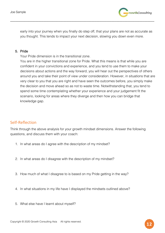

early into your journey when you finally do step off, that your plans are not as accurate as you thought. This tends to impact your next decision, slowing you down even more.

\_\_\_\_\_\_\_\_\_\_\_\_\_\_\_\_\_\_\_\_\_\_\_\_\_\_\_\_\_\_\_\_\_\_\_\_\_\_\_\_\_\_\_\_\_\_\_\_\_\_\_\_\_\_\_\_\_\_\_\_\_\_\_\_\_\_\_\_\_\_\_\_\_\_\_\_\_\_\_\_\_\_\_\_\_\_\_

#### 5. Pride

Your Pride dimension is in the transitional zone.

You are in the higher transitional zone for Pride. What this means is that while you are confident in your convictions and experience, and you tend to use them to make your decisions about actions and the way forward, you will hear out the perspectives of others around you and take their point of view under consideration. However, in situations that are very clear to you that you are right and have seen the outcomes before, you simply make the decision and move ahead so as not to waste time. Notwithstanding that, you tend to spend some time contemplating whether your experience and your judgement fit the scenario, looking for areas where they diverge and then how you can bridge that knowledge gap.

# Self-Reflection

Think through the above analysis for your growth mindset dimensions. Answer the following questions, and discuss them with your coach:

- 1. In what areas do I agree with the description of my mindset?
- 2. In what areas do I disagree with the description of my mindset?
- 3. How much of what I disagree to is based on my Pride getting in the way?
- 4. In what situations in my life have I displayed the mindsets outlined above?
- 5. What else have I learnt about myself?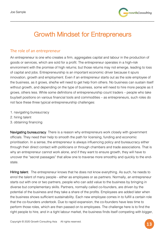

# Growth Mindset for Entrepreneurs

\_\_\_\_\_\_\_\_\_\_\_\_\_\_\_\_\_\_\_\_\_\_\_\_\_\_\_\_\_\_\_\_\_\_\_\_\_\_\_\_\_\_\_\_\_\_\_\_\_\_\_\_\_\_\_\_\_\_\_\_\_\_\_\_\_\_\_\_\_\_\_\_\_\_\_\_\_\_\_\_\_\_\_\_\_\_\_

# The role of an entrepreneur

An entrepreneur is one who creates a firm, aggregates capital and labour in the production of goods or services, which are sold for a profit. The entrepreneur operates in a high-risk environment with the promise of high returns; but those returns may not emerge, leading to loss of capital and jobs. Entrepreneurship is an important economic driver because it spurs innovation, growth and employment. Even if an entrepreneur starts out as the sole employee of the business, as it grows, she/he will need to get help from others. No business can sustain itself without growth, and depending on the type of business, some will need to hire more people as it grows, others less. While some definitions of entrepreneurship count traders – people who take buy/sell positions on various financial tools and commodities – as entrepreneurs, such roles do not face these three typical entrepreneurship challenges:

- 1. navigating bureaucracy
- 2. hiring talent
- 3. obtaining financing

Navigating bureaucracy. There is a reason why entrepreneurs work closely with government officials. They need their help to smooth the path for licensing, funding and economic prioritisation. In a sense, the entrepreneur is always influencing policy and bureaucracy either through their direct contact with politicians or through chambers and trade associations. That is why an entrepreneur cannot work alone, and if they want to ensure growth, they will have to uncover the "secret passages" that allow one to traverse more smoothly and quickly to the endstate.

Hiring talent. The entrepreneur knows that he does not know everything. As such, he needs to enrol the talent of many people - either as employees or as partners. Normally, an entrepreneur starts out with one or two partners, people who can add value to the business by bringing in diverse but complementary skills. Partners, normally called co-founders, are driven by the potential of the business and they take a share of the profits. Employees are added later when the business shows sufficient sustainability. Each new employee comes in to fulfill a certain role that the co-founders undertook. Due to rapid expansion, the co-founders have less time to perform those roles, which are then passed on to employees. The challenge here is to find the right people to hire, and in a tight labour market, the business finds itself competing with bigger,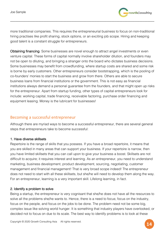

more traditional companies. This requires the entrepreneurial business to focus on non-traditional hiring practises like profit sharing, stock options, or an exciting job scope. Hiring and keeping good talent is a constant struggle for entrepreneurs.

\_\_\_\_\_\_\_\_\_\_\_\_\_\_\_\_\_\_\_\_\_\_\_\_\_\_\_\_\_\_\_\_\_\_\_\_\_\_\_\_\_\_\_\_\_\_\_\_\_\_\_\_\_\_\_\_\_\_\_\_\_\_\_\_\_\_\_\_\_\_\_\_\_\_\_\_\_\_\_\_\_\_\_\_\_\_\_

Obtaining financing. Some businesses are novel enough to attract angel investments or even venture capital. These forms of capital normally involve shareholder dilution, and founders may not be open to diluting, and bringing a stranger onto the board who dictates business decisions. Some businesses may benefit from crowdfunding, where startup costs are shared and some risk is borne by early customers. Other entrepreneurs consider bootstrapping, which is the pooling of co-founders' monies to start the business and grow from there. Others are able to secure business loans from financial institutions or the government. This is not easy as financial institutions always demand a personal guarantee from the founders, and that might open up risks for the entrepreneur. Apart from startup funding, other types of capital entrepreneurs look for include: working capital, trade financing, receivable factoring, purchase order financing and equipment leasing. Money is the lubricant for businesses!

# Becoming a successful entrepreneur

Although there are myriad ways to become a successful entrepreneur, there are several general steps that entrepreneurs take to become successful:

### 1. Have diverse skillsets

Repertoire is the range of skills that you possess. If you have a broad repertoire, it means that you are skilled in many areas that can support your business. If your repertoire is narrow, then you have limited skillsets that you can call upon to give your business a boost. Skillsets are not difficult to acquire; it requires interest and learning. As an entrepreneur, you need to understand marketing, business development, product development, sourcing, negotiating, customer management and financial management! That is very broad scope indeed! The entrepreneur does not need to start with all these skillsets, but she/he will need to develop them along the way. For an entrepreneur, learning is a very important skill. Lifelong learning, in fact.

#### 2. Identify a problem to solve

Being a startup, the entrepreneur is very cognisant that she/he does not have all the resources to solve all the problems she/he wants to. Hence, there is a need to focus; focus on the industry, focus on the people, and focus on the jobs to be done. The problem need not be some big, complex issue like solving world hunger. It is something that industry players have overlooked, or decided not to focus on due to its scale. The best way to identify problems is to look at these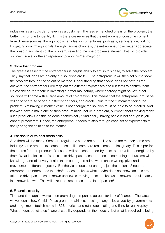

industries as an outsider or even as a customer. The less entrenched one is on the problem, the better it is for one to identify it. This therefore requires that the entrepreneur consume content from diverse sources; through books, articles, documentaries, podcasts, seminars, networking. By getting confirming signals through various channels, the entrepreneur can better appreciate the breadth and depth of the problem, selecting the one problem statement that will provide sufficient scale for the entrepreneur to work his/her magic on!

\_\_\_\_\_\_\_\_\_\_\_\_\_\_\_\_\_\_\_\_\_\_\_\_\_\_\_\_\_\_\_\_\_\_\_\_\_\_\_\_\_\_\_\_\_\_\_\_\_\_\_\_\_\_\_\_\_\_\_\_\_\_\_\_\_\_\_\_\_\_\_\_\_\_\_\_\_\_\_\_\_\_\_\_\_\_\_

### 3. Solve that problem

The greatest asset for the entrepreneur is her/his ability to act; in this case, to solve the problem. They say that ideas are aplenty but solutions are few. The entrepreneur will then set out to solve the problem through the scientific method. Understanding that she/he does not have all the answers, the entrepreneur will map out the different hypotheses and run tests to confirm them. Unless the entrepreneur is inventing a better mousetrap, where secrecy might be key, other solutions will come with a large amount of co-creation. This means that the entrepreneur must be willing to share, to onboard different partners, and create value for the customers facing the problem. Yet having customer value is not enough; the solution must be able to be created. And knowing how to make one of such product might not be a problem, but what about making many such products? Can this be done economically? And finally, having scale is not enough if you cannot protect that. Hence, the entrepreneur needs to step through each set of experiments to finally bring the solution to the market.

#### 4. Passion to drive past roadblocks

And there will be many. Some are regulatory; some are capability; some are market; some are industry; some are habits; some are scientific; some are real; some are imaginary. This is par for the course for entrepreneurs. Yet some will be disheartened by them, others will be energised by them. What it takes is one's passion to drive past these roadblocks, combining enthusiasm with knowledge and discovery. It also takes courage to admit when one is wrong, pivot and then move onto a different trajectory. But the vision does not change, just the actions. Since the entrepreneur understands that she/he does not know what she/he does not know, actions are taken to drive past these unknown unknowns, moving them into known unknowns and ultimately into known knowns. This will take time, resources and a lot of passion!

#### 5. Financial stability

Time and time again, we've seen promising companies go bust for lack of finances. The latest we've seen is how Covid-19 has grounded airlines, causing many to be saved by governments; and long-time establishments in F&B, tourism and retail capitulating and filing for bankruptcy. What amount constitutes financial stability depends on the industry; but what is required is being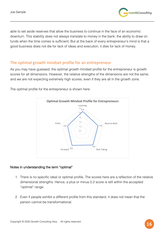

able to set aside reserves that allow the business to continue in the face of an economic downturn. This stability does not always translate to money in the bank; the ability to draw on funds when the time comes is sufficient. But at the back of every entrepreneur's mind is that a good business does not die for lack of ideas and execution, it dies for lack of money.

\_\_\_\_\_\_\_\_\_\_\_\_\_\_\_\_\_\_\_\_\_\_\_\_\_\_\_\_\_\_\_\_\_\_\_\_\_\_\_\_\_\_\_\_\_\_\_\_\_\_\_\_\_\_\_\_\_\_\_\_\_\_\_\_\_\_\_\_\_\_\_\_\_\_\_\_\_\_\_\_\_\_\_\_\_\_\_

# The optimal growth mindset profile for an entrepreneur

As you may have guessed, the optimal growth mindset profile for the entrepreneur is growth scores for all dimensions. However, the relative strengths of the dimensions are not the same; and we are not expecting extremely high scores, even if they are all in the growth zone.

The optimal profile for the entrepreneur is shown here:



### Notes in understanding the term "optimal"

- 1. There is no specific ideal or optimal profile. The scores here are a reflection of the relative dimensional strengths. Hence, a plus or minus 0.2 score is still within the accepted "optimal" range.
- 2. Even if people exhibit a different profile from this standard, it does not mean that the person cannot be transformational.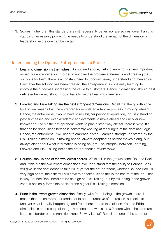

3. Scores higher than this standard are not necessarily better, nor are scores lower than this standard necessarily poorer. One needs to understand the impact of the dimension on leadership before one can be certain.

\_\_\_\_\_\_\_\_\_\_\_\_\_\_\_\_\_\_\_\_\_\_\_\_\_\_\_\_\_\_\_\_\_\_\_\_\_\_\_\_\_\_\_\_\_\_\_\_\_\_\_\_\_\_\_\_\_\_\_\_\_\_\_\_\_\_\_\_\_\_\_\_\_\_\_\_\_\_\_\_\_\_\_\_\_\_\_

# Understanding the Optimal Entrepreneurship Profile

- 1. Learning dimension is the highest. As outlined above, lifelong learning is a very important aspect for entrepreneurs. In order to uncover the problem statements and creating the solutions for them, there is a constant need to uncover, learn, understand and then solve. Even after the solution has been created, the entrepreneur is constantly learning to improve the outcomes, increasing the value to customers. Hence, if dimension should best define entrepreneurship, it would have to be the Learning dimension.
- 2. Forward and Risk-Taking are the next strongest dimensions. Recall that the growth zone for Forward means that the entrepreneur adopts an adaptive process in moving ahead. Hence, the entrepreneur would have to risk his/her personal reputation, industry standing, past successes and even academic achievements to move ahead and uncover new knowledge. Even if the entrepreneur wants to plan his/her way ahead, there is very little that can be done, since he/she is constantly working at the fringes of the dominant logic. Hence, the entrepreneur will need to embrace his/her Learning strength, bolstered by the Risk-Taking dimension, in moving ahead; always adapting as he/she moves along, but always clear about what information is being sought. The interplay between Learning, Forward and Risk Taking define the entrepreneur's raison d'être.
- 3. Bounce-Back is one of the two lowest scores. While still in the growth zone, Bounce Back and Pride are the two lowest dimensions. We understand that the ability to Bounce Back will give us the confidence to take risks; yet for the entrepreneur, whether Bounce Back is very high or not, the risks will still have to be taken, since this is the nature of the job. That is why Bounce Back need not be as high as Risk Taking, but by still being in the growth zone, it basically forms the basis for the higher Risk-Taking dimension.
- 4. Pride is the lowest growth dimension. Finally, with Pride being in the growth score, it means that the entrepreneur tends not to be presumptive of the results, but looks to uncover what is really happening, and from there, iterate the solution. Yet, the Pride dimension is on the cusp of the growth zone, and with a  $+/-$  0.2 score within the optimum, it can still border on the transition zone. So why is that? Recall that one of the steps to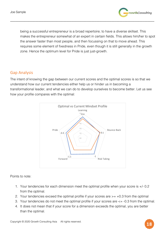

being a successful entrepreneur is a broad repertoire; to have a diverse skillset. This makes the entrepreneur somewhat of an expert in certain fields. This allows him/her to spot the answer faster than most people, and then focussing on that to move ahead. This requires some element of fixedness in Pride, even though it is still generally in the growth zone. Hence the optimum level for Pride is just just-growth.

\_\_\_\_\_\_\_\_\_\_\_\_\_\_\_\_\_\_\_\_\_\_\_\_\_\_\_\_\_\_\_\_\_\_\_\_\_\_\_\_\_\_\_\_\_\_\_\_\_\_\_\_\_\_\_\_\_\_\_\_\_\_\_\_\_\_\_\_\_\_\_\_\_\_\_\_\_\_\_\_\_\_\_\_\_\_\_

# Gap Analysis

The intent of knowing the gap between our current scores and the optimal scores is so that we understand how our current tendencies either help us or hinder us in becoming a transformational leader, and what we can do to develop ourselves to become better. Let us see how your profile compares with the optimal:



Points to note:

- 1. Your tendencies for each dimension meet the optimal profile when your score is +/- 0.2 from the optimal.
- 2. Your tendencies exceed the optimal profile if your scores are  $\ge$  =  $+0.3$  from the optimal
- 3. Your tendencies do not meet the optimal profile if your scores are <= -0.3 from the optimal.
- 4. It does not mean that if your score for a dimension exceeds the optimal, you are better than the optimal.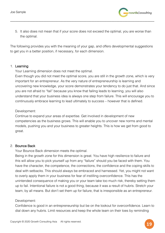

5. It also does not mean that if your score does not exceed the optimal, you are worse than the optimal.

\_\_\_\_\_\_\_\_\_\_\_\_\_\_\_\_\_\_\_\_\_\_\_\_\_\_\_\_\_\_\_\_\_\_\_\_\_\_\_\_\_\_\_\_\_\_\_\_\_\_\_\_\_\_\_\_\_\_\_\_\_\_\_\_\_\_\_\_\_\_\_\_\_\_\_\_\_\_\_\_\_\_\_\_\_\_\_

The following provides you with the meaning of your gap, and offers developmental suggestions to get you in a better position, if necessary, for each dimension.

#### 1. Learning

Your Learning dimension does not meet the optimal.

Even though you did not meet the optimal score, you are still in the growth zone, which is very important for an entrepreneur. As the very nature of entrepreneurship is learning and uncovering new knowledge, your score demonstrates your tendency to do just that. And since you are not afraid to "fail" because you know that failing leads to learning, you will also understand that your business idea is always one step from failure. This will encourage you to continuously embrace learning to lead ultimately to success – however that is defined.

Development:

Continue to expand your areas of expertise. Get involved in development of new competencies as the business grows. This will enable you to uncover new norms and mental models, pushing you and your business to greater heights. This is how we get from good to great.

#### 2. Bounce Back

Your Bounce Back dimension meets the optimal.

Being in the growth zone for this dimension is great. You have high resilience to failure and this will allow you to pick yourself up from any "failure" should you be faced with them. You have the character, the competence, the connections, the confidence and the coping skills to deal with setbacks. This should always be embraced and harnessed. Yet, you might not want to overly apply them in your business for fear of instilling overconfidence. This has the unintended consequence of making you or your team take too much risk, thereby setting them up to fail. Intentional failure is not a good thing, because it was a result of hubris. Stretch your team, by all means. But don't set them up for failure, that is irresponsible as an entrepreneur.

#### Development:

Confidence is good in an entrepreneurship but be on the lookout for overconfidence. Learn to dial down any hubris. Limit resources and keep the whole team on their toes by reminding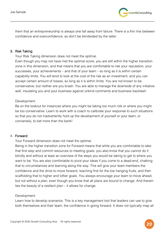

them that an entrepreneurship is always one fall away from failure. There is a thin line between confidence and overconfidence, so don't be blindsided by the latter.

\_\_\_\_\_\_\_\_\_\_\_\_\_\_\_\_\_\_\_\_\_\_\_\_\_\_\_\_\_\_\_\_\_\_\_\_\_\_\_\_\_\_\_\_\_\_\_\_\_\_\_\_\_\_\_\_\_\_\_\_\_\_\_\_\_\_\_\_\_\_\_\_\_\_\_\_\_\_\_\_\_\_\_\_\_\_\_

#### 3. Risk Taking

Your Risk Taking dimension does not meet the optimal.

Even though you may not have met the optimal score, you are still within the higher transition zone in this dimension, and that means that you are comfortable to risk your reputation, your successes, your achievements – and that of your team – so long as it is within certain capability limits. You will tend to look at the cost of the risk as an investment, and you can accept certain amount of losses, so long as it is within limits. You are not known to be conservative, but neither are you brash. You are able to manage the downside of any initiative well, insulating you and your business against unkind comments and business backlash.

#### Development:

Be on the lookout for instances where you might be taking too much risk or where you might be too conservative. Learn to work with a coach to calibrate your response to such situations so that you do not inadvertently hold up the development of yourself or your team; or conversely, to bet more than the bank!

### 4. Forward

Your Forward dimension does not meet the optimal.

Being in the higher transition zone for Forward means that while you are comfortable to take that first step and commit resources to meeting goals, you also know that you cannot do it blindly and without at least an overview of the steps you would be taking to get to where you want to be. You are also comfortable to pivot your ideas if you come to a dead-end, chalking that to circumstances and learning along the way. This will give your team members the confidence and the drive to move forward, reaching first for the low hanging fruits, and then scaffolding that to higher and loftier goals. You always encourage your team to move ahead, but not without a plan, even though you know that all plans are bound to change. And therein lies the beauty of a resilient plan – it allows for change.

#### Development:

Learn how to develop scenarios. This is a key management tool that leaders can use to give both themselves and their team, the confidence in going forward. It does not typically map all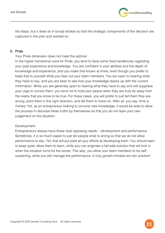

the steps, but it does so in broad strokes so that the strategic components of the decision are captured in the plan and worked on.

\_\_\_\_\_\_\_\_\_\_\_\_\_\_\_\_\_\_\_\_\_\_\_\_\_\_\_\_\_\_\_\_\_\_\_\_\_\_\_\_\_\_\_\_\_\_\_\_\_\_\_\_\_\_\_\_\_\_\_\_\_\_\_\_\_\_\_\_\_\_\_\_\_\_\_\_\_\_\_\_\_\_\_\_\_\_\_

#### 5. Pride

Your Pride dimension does not meet the optimal.

In the higher transitional zone for Pride, you tend to have some fixed tendencies regarding your past experience and knowledge. You are confident in your abilities and the depth of knowledge and experience, and you make that known at times, even though you prefer to keep that to yourself while you hear out your team members. You are open to hearing what they have to say, and you are keen to see how your knowledge stacks up with the current information. While you are generally open to hearing what they have to say and will suppress your urge to correct them, you tend not to hold your peace when they are truly far away from the reality that you know to be true. For these cases, you will prefer to just tell them they are wrong, point them in the right direction, and tell them to move on. After all, you say, time is money! Yet, as an entrepreneur looking to uncover new knowledge, it would be wise to allow the process to disclose these truths by themselves so that you do not layer your own judgement on the situation.

#### Development:

Entrepreneurs always have these dual opposing needs – development and performance. Sometimes, it is so much easier to just tell people what is wrong so that we do not allow performance to slip. Yet, that will put paid all your efforts at developing them. You should learn to keep quiet, allow them to learn, while you can engineer a fail-safe solution that will kick in when the situation turns for the worse. This way, you allow your team members to be selfsustaining, while you still manage the performance. A truly growth-minded win-win solution!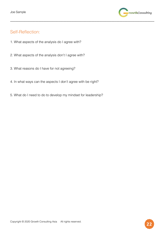

# Self-Reflection:

- 1. What aspects of the analysis do I agree with?
- 2. What aspects of the analysis don't I agree with?
- 3. What reasons do I have for not agreeing?
- 4. In what ways can the aspects I don't agree with be right?

\_\_\_\_\_\_\_\_\_\_\_\_\_\_\_\_\_\_\_\_\_\_\_\_\_\_\_\_\_\_\_\_\_\_\_\_\_\_\_\_\_\_\_\_\_\_\_\_\_\_\_\_\_\_\_\_\_\_\_\_\_\_\_\_\_\_\_\_\_\_\_\_\_\_\_\_\_\_\_\_\_\_\_\_\_\_\_

5. What do I need to do to develop my mindset for leadership?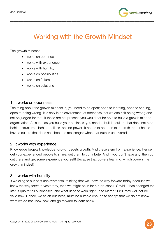

# Working with the Growth Mindset

\_\_\_\_\_\_\_\_\_\_\_\_\_\_\_\_\_\_\_\_\_\_\_\_\_\_\_\_\_\_\_\_\_\_\_\_\_\_\_\_\_\_\_\_\_\_\_\_\_\_\_\_\_\_\_\_\_\_\_\_\_\_\_\_\_\_\_\_\_\_\_\_\_\_\_\_\_\_\_\_\_\_\_\_\_\_\_

The growth mindset

- works on openness
- works with experience
- works with humility
- works on possibilities
- works on failure
- works on solutions

## 1. It works on openness

The thing about the growth mindset is, you need to be open; open to learning, open to sharing, open to being wrong. It is only in an environment of openness that we can risk being wrong and not be judged for that. If these are not present, you would not be able to build a growth minded organisation. As such, as you build your business, you need to build a culture that does not hide behind structures, behind politics, behind power. It needs to be open to the truth, and it has to have a culture that does not shoot the messenger when that truth is uncovered.

## 2. It works with experience

Knowledge begets knowledge; growth begets growth. And these stem from experience. Hence, get your experienced people to share; get them to contribute. And if you don't have any, then go out there and get some experience yourself! Because that powers learning, which powers the growth mindset!

# 3. It works with humility

If we cling to our past achievements, thinking that we know the way forward today because we knew the way forward yesterday, then we might be in for a rude shock. Covid19 has changed the status quo for all businesses, and what used to work right up to March 2020, may well not be valid now. Hence, we as an business, must be humble enough to accept that we do not know what we do not know now, and go forward to learn anew.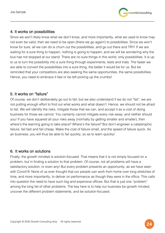

# 4. It works on possibilities

Since we won't likely know what we don't know, and more importantly, what we used to know may not even be valid, then we need to be open (there we go again!) to possibilities. Since we won't know for sure, all we can do is churn out the possibilities, and go out there and TRY! If we are waiting for a sure thing to happen, nothing is going to happen; and we will be wondering why the bus has not stopped at our stand. There are no sure things in this world, only possibilities. It is up to us to turn the possibility into a sure thing through experiments, tests and trials. The faster we are able to convert the possibilities into a sure thing, the better it would be for us. But be reminded that your competitors are also seeking the same opportunities, the same possibilities. Hence, you need to embrace it fast or be left picking up the crumbs!

\_\_\_\_\_\_\_\_\_\_\_\_\_\_\_\_\_\_\_\_\_\_\_\_\_\_\_\_\_\_\_\_\_\_\_\_\_\_\_\_\_\_\_\_\_\_\_\_\_\_\_\_\_\_\_\_\_\_\_\_\_\_\_\_\_\_\_\_\_\_\_\_\_\_\_\_\_\_\_\_\_\_\_\_\_\_\_

# 5. It works on "failure"

Of course, we don't deliberately go out to fail; but we also understand if we do not "fail", we are not putting enough effort to find out what works and what doesn't. Hence, we should not be afraid to fail. We will identify the risks, mitigate those that we can, and accept it as a cost of doing business for those we cannot. You certainly cannot mitigate every risk away; and neither should you! If you have squared all your risks away (normally by getting smaller and smaller), then where's the learning going to take place? Where's the failure? But don't engineer a catastrophic failure; fail fast and fail cheap. Make the cost of failure small, and the speed of failure quick. As an business, you will thus be able to fail quickly, so as to learn quickly!

## 6. It works on solutions

Finally, the growth mindset is solution-focused. That means that it is not simply focused on a problem, but in finding a solution to that problem. Of course, not all problems will have a satisfactory solution; or even any! But every problem presents an opportunity, as we have seen with Covid19. None of us ever thought that our people can work from home over long stretches of time, and more importantly, to deliver on performance as though they were in the office. This calls into question the need to have such big and expensive offices. But that is just one "problem" among the long list of other problems. The key here is to help our business be growth minded, uncover the different problem statements, and be solution-focused.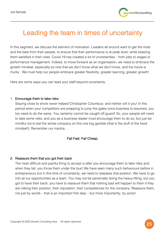

# Leading the team in times of uncertainty

\_\_\_\_\_\_\_\_\_\_\_\_\_\_\_\_\_\_\_\_\_\_\_\_\_\_\_\_\_\_\_\_\_\_\_\_\_\_\_\_\_\_\_\_\_\_\_\_\_\_\_\_\_\_\_\_\_\_\_\_\_\_\_\_\_\_\_\_\_\_\_\_\_\_\_\_\_\_\_\_\_\_\_\_\_\_\_

In this segment, we discuss the element of motivation. Leaders all around want to get the most and the best from their people, to ensure that their performance is at peak level, while keeping them satisfied in their roles. Covid-19 has created a lot of uncertainties – from jobs to wages to performance management. Indeed, to move forward as an organisation, we need to embrace the growth mindset, especially so now that we don't know what we don't know, and the future is murky. We must help our people embrace greater flexibility, greater learning, greater growth!

Here are some ways you can lead your staff beyond uncertainty.

#### 1. Encourage them to take risks

Staying close to shore never helped Christopher Columbus; and neither will it you! In this period when your competitors are prepping to jump the gates once business is resumed, you too need to do the same. You certainly cannot be caught off-guard! So, your people will need to take some risks, and you as a business leader must encourage them to do so; but just be mindful not to bet the whole company on this one big gamble (that is the stuff of the fixed mindset!). Remember our mantra…

#### Fail Fast. Fail Cheap.

#### 2. Reassure them that you got their back

The most difficult and painful thing to accept is after you encourage them to take risks and when they fail, you throw them under the bus! We have seen many such behaviours before in entrepreneurs but in this time of uncertainty, we need to reassess that position. We have to go into all our opportunities as a team. You may not be personally doing the heavy-lifting, but you got to have their back; you have to reassure them that nothing bad will happen to them if they are risking their position, their reputation, their competences for the company. Reassure them, not just by words – that is an important first step – but more importantly, by action.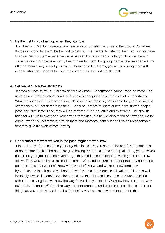

#### 3. Be the first to pick them up when they stumble

And they will. But don't operate your leadership from afar, be close to the ground. So when things go wrong for them, be the first to help out. Be the first to listen to them. You do not have to solve their problem – because we have seen how important it is for you to allow them to solve their own problems – but by being there for them, by giving them a new perspective, by offering them a way to bridge between them and other teams, you are providing them with exactly what they need at the time they need it. Be the first; not the last.

\_\_\_\_\_\_\_\_\_\_\_\_\_\_\_\_\_\_\_\_\_\_\_\_\_\_\_\_\_\_\_\_\_\_\_\_\_\_\_\_\_\_\_\_\_\_\_\_\_\_\_\_\_\_\_\_\_\_\_\_\_\_\_\_\_\_\_\_\_\_\_\_\_\_\_\_\_\_\_\_\_\_\_\_\_\_\_

#### 4. Set realistic, achievable targets

In times of uncertainty, our targets get out of whack! Performance cannot even be measured, rewards are hard to define, headcount is even changing! This creates a lot of uncertainty. What the successful entrepreneur needs to do is set realistic, achievable targets; you want to stretch them but not demoralise them. Because, growth mindset or not, if we stretch people past their productive zone, they will be extremely unproductive and miserable. The growth mindset will turn to fixed; and your efforts of making to a new endpoint will be thwarted. So be careful when you set targets; stretch them and motivate them but don't be so unreasonable that they give up even before they try!

#### 5. Understand that what worked in the past, might not work now

If the collective Pride score in your organisation is low, you need to be careful; it means a lot of people are stuck in the past. Imagine having 20 people in the startup all telling you how you should do your job because 5 years ago, they did it in some manner which you should now follow! They would all have missed the mark! We need to learn to be adaptable by accepting, as a business, that we don't know what we don't know; and we must now form new hypotheses to test. It could well be that what we did in the past is still valid; but it could well be totally invalid. No one knows for sure, since the situation is so novel and uncertain! So rather than saying that we know the way forward, say instead, "We know how to find the way out of this uncertainty!" And that way, for entrepreneurs and organisations alike, is not to do things as you had always done, but to identify what works now, and start doing that!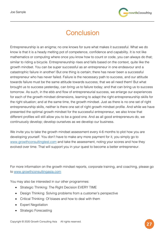

# **Conclusion**

\_\_\_\_\_\_\_\_\_\_\_\_\_\_\_\_\_\_\_\_\_\_\_\_\_\_\_\_\_\_\_\_\_\_\_\_\_\_\_\_\_\_\_\_\_\_\_\_\_\_\_\_\_\_\_\_\_\_\_\_\_\_\_\_\_\_\_\_\_\_\_\_\_\_\_\_\_\_\_\_\_\_\_\_\_\_\_

Entrepreneurship is an enigma; no one knows for sure what makes it successful. What we do know is that it is a heady melting pot of competence, confidence and capability. It is not like mathematics or computing where once you know how to count or code, you can always do that; similar to riding a bicycle. Entrepreneurship rises and falls based on the context, quite like the growth mindset. You can be super successful as an entrepreneur in one endeavour and a catastrophic failure in another! But one thing is certain; there has never been a successful entrepreneur who has never failed. Failure is the necessary path to success, and our attitude towards failure must be the same attitude towards success; that we all need them! But what brought us to success yesterday, can bring us to failure today; and that can bring us to success tomorrow. As such, in the ebb and flow of entrepreneurial success, we enlarge our experiences for each of the growth mindset dimensions, learning to adapt the right entrepreneurship skills for the right situation; and at the same time, the growth mindset. Just as there is no one set of right entrepreneurship skills, neither is there one set of right growth mindset profile. And while we have presented the optimal growth mindset for the successful entrepreneur, we also know that different profiles will still allow you to be a good one. And as all good entrepreneurs do, we continuously develop; develop ourselves as we develop our business.

We invite you to take the growth mindset assessment every 4-6 months to plot how you are developing yourself. You don't have to make any more payment for it, you simply go to www.growthconsultingtest.com and take the assessment, noting your scores and how they evolved over time. That will support you in your quest to become a better entrepreneur.

For more information on the growth mindset reports, corporate training, and coaching, please go to www.growthconsultingasia.com

You may also be interested in our other programmes:

- Strategic Thinking: The Right Decision EVERY TIME
- Design Thinking: Solving problems from a customer's perspective
- Critical Thinking: Of biases and how to deal with them
- Expert Negotiation
- Strategic Forecasting